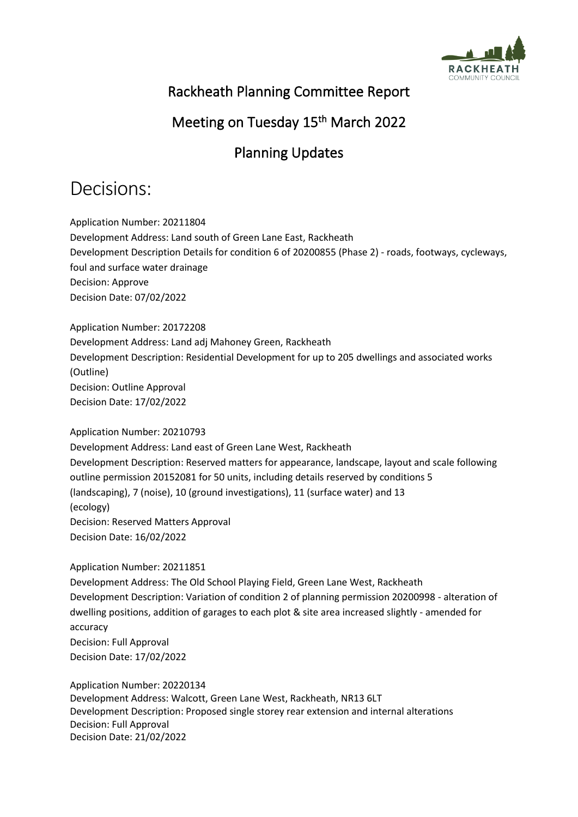

#### Rackheath Planning Committee Report

### Meeting on Tuesday 15<sup>th</sup> March 2022

## Planning Updates

## Decisions:

Application Number: 20211804 Development Address: Land south of Green Lane East, Rackheath Development Description Details for condition 6 of 20200855 (Phase 2) - roads, footways, cycleways, foul and surface water drainage Decision: Approve Decision Date: 07/02/2022

Application Number: 20172208 Development Address: Land adj Mahoney Green, Rackheath Development Description: Residential Development for up to 205 dwellings and associated works (Outline) Decision: Outline Approval Decision Date: 17/02/2022

#### Application Number: 20210793

Development Address: Land east of Green Lane West, Rackheath Development Description: Reserved matters for appearance, landscape, layout and scale following outline permission 20152081 for 50 units, including details reserved by conditions 5 (landscaping), 7 (noise), 10 (ground investigations), 11 (surface water) and 13 (ecology) Decision: Reserved Matters Approval Decision Date: 16/02/2022

Application Number: 20211851

Development Address: The Old School Playing Field, Green Lane West, Rackheath Development Description: Variation of condition 2 of planning permission 20200998 - alteration of dwelling positions, addition of garages to each plot & site area increased slightly - amended for accuracy Decision: Full Approval Decision Date: 17/02/2022

Application Number: 20220134 Development Address: Walcott, Green Lane West, Rackheath, NR13 6LT Development Description: Proposed single storey rear extension and internal alterations Decision: Full Approval Decision Date: 21/02/2022